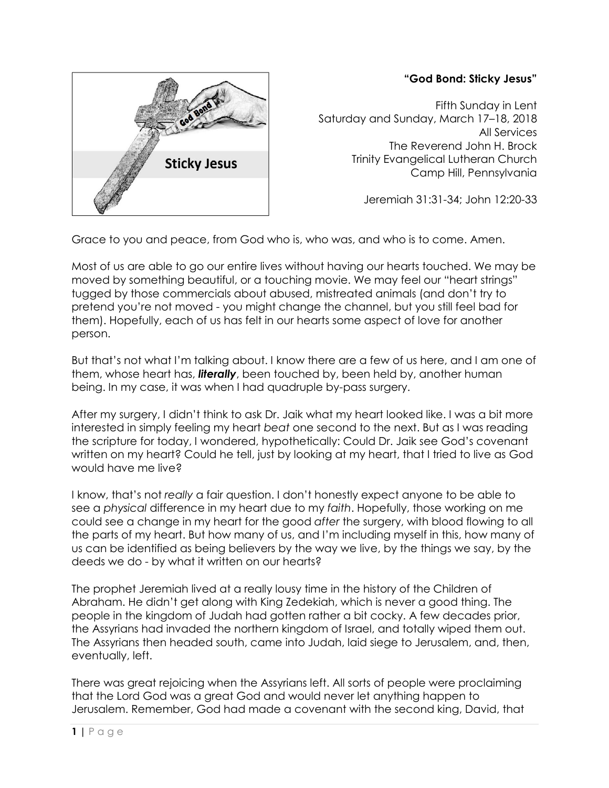## **"God Bond: Sticky Jesus"**



Fifth Sunday in Lent Saturday and Sunday, March 17–18, 2018 All Services The Reverend John H. Brock Trinity Evangelical Lutheran Church Camp Hill, Pennsylvania

Jeremiah 31:31-34; John 12:20-33

Grace to you and peace, from God who is, who was, and who is to come. Amen.

Most of us are able to go our entire lives without having our hearts touched. We may be moved by something beautiful, or a touching movie. We may feel our "heart strings" tugged by those commercials about abused, mistreated animals (and don't try to pretend you're not moved - you might change the channel, but you still feel bad for them). Hopefully, each of us has felt in our hearts some aspect of love for another person.

But that's not what I'm talking about. I know there are a few of us here, and I am one of them, whose heart has, *literally*, been touched by, been held by, another human being. In my case, it was when I had quadruple by-pass surgery.

After my surgery, I didn't think to ask Dr. Jaik what my heart looked like. I was a bit more interested in simply feeling my heart *beat* one second to the next. But as I was reading the scripture for today, I wondered, hypothetically: Could Dr. Jaik see God's covenant written on my heart? Could he tell, just by looking at my heart, that I tried to live as God would have me live?

I know, that's not *really* a fair question. I don't honestly expect anyone to be able to see a *physical* difference in my heart due to my *faith*. Hopefully, those working on me could see a change in my heart for the good *after* the surgery, with blood flowing to all the parts of my heart. But how many of us, and I'm including myself in this, how many of us can be identified as being believers by the way we live, by the things we say, by the deeds we do - by what it written on our hearts?

The prophet Jeremiah lived at a really lousy time in the history of the Children of Abraham. He didn't get along with King Zedekiah, which is never a good thing. The people in the kingdom of Judah had gotten rather a bit cocky. A few decades prior, the Assyrians had invaded the northern kingdom of Israel, and totally wiped them out. The Assyrians then headed south, came into Judah, laid siege to Jerusalem, and, then, eventually, left.

There was great rejoicing when the Assyrians left. All sorts of people were proclaiming that the Lord God was a great God and would never let anything happen to Jerusalem. Remember, God had made a covenant with the second king, David, that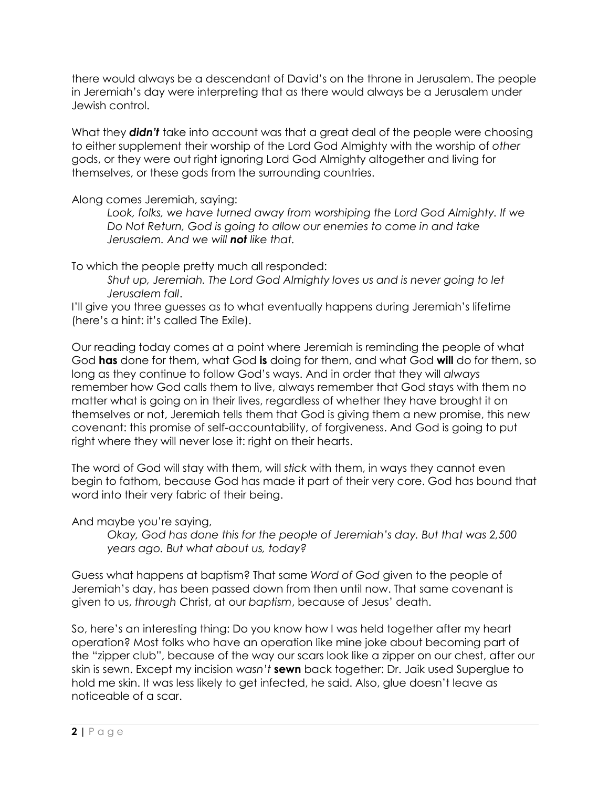there would always be a descendant of David's on the throne in Jerusalem. The people in Jeremiah's day were interpreting that as there would always be a Jerusalem under Jewish control.

What they *didn't* take into account was that a great deal of the people were choosing to either supplement their worship of the Lord God Almighty with the worship of *other*  gods, or they were out right ignoring Lord God Almighty altogether and living for themselves, or these gods from the surrounding countries.

Along comes Jeremiah, saying:

*Look, folks, we have turned away from worshiping the Lord God Almighty. If we Do Not Return, God is going to allow our enemies to come in and take Jerusalem. And we will not like that.*

To which the people pretty much all responded:

*Shut up, Jeremiah. The Lord God Almighty loves us and is never going to let Jerusalem fall*.

I'll give you three guesses as to what eventually happens during Jeremiah's lifetime (here's a hint: it's called The Exile).

Our reading today comes at a point where Jeremiah is reminding the people of what God **has** done for them, what God **is** doing for them, and what God **will** do for them, so long as they continue to follow God's ways. And in order that they will *always*  remember how God calls them to live, always remember that God stays with them no matter what is going on in their lives, regardless of whether they have brought it on themselves or not, Jeremiah tells them that God is giving them a new promise, this new covenant: this promise of self-accountability, of forgiveness. And God is going to put right where they will never lose it: right on their hearts.

The word of God will stay with them, will *stick* with them, in ways they cannot even begin to fathom, because God has made it part of their very core. God has bound that word into their very fabric of their being.

And maybe you're saying,

*Okay, God has done this for the people of Jeremiah's day. But that was 2,500 years ago. But what about us, today?* 

Guess what happens at baptism? That same *Word of God* given to the people of Jeremiah's day, has been passed down from then until now. That same covenant is given to us, *through* Christ, at our *baptism*, because of Jesus' death.

So, here's an interesting thing: Do you know how I was held together after my heart operation? Most folks who have an operation like mine joke about becoming part of the "zipper club", because of the way our scars look like a zipper on our chest, after our skin is sewn. Except my incision *wasn't* **sewn** back together: Dr. Jaik used Superglue to hold me skin. It was less likely to get infected, he said. Also, glue doesn't leave as noticeable of a scar.